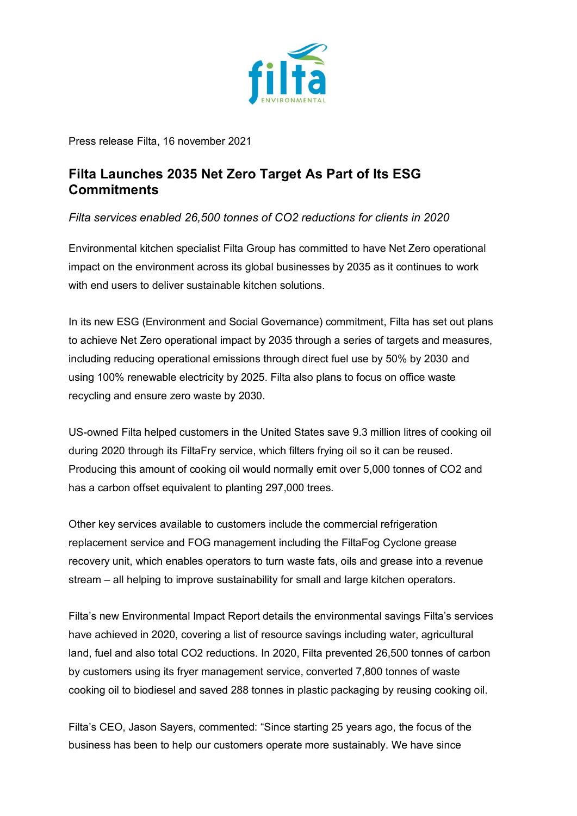

Press release Filta, 16 november 2021

## **Filta Launches 2035 Net Zero Target As Part of Its ESG Commitments**

*Filta services enabled 26,500 tonnes of CO2 reductions for clients in 2020*

Environmental kitchen specialist Filta Group has committed to have Net Zero operational impact on the environment across its global businesses by 2035 as it continues to work with end users to deliver sustainable kitchen solutions.

In its new ESG (Environment and Social Governance) commitment, Filta has set out plans to achieve Net Zero operational impact by 2035 through a series of targets and measures, including reducing operational emissions through direct fuel use by 50% by 2030 and using 100% renewable electricity by 2025. Filta also plans to focus on office waste recycling and ensure zero waste by 2030.

US-owned Filta helped customers in the United States save 9.3 million litres of cooking oil during 2020 through its FiltaFry service, which filters frying oil so it can be reused. Producing this amount of cooking oil would normally emit over 5,000 tonnes of CO2 and has a carbon offset equivalent to planting 297,000 trees.

Other key services available to customers include the commercial refrigeration replacement service and FOG management including the FiltaFog Cyclone grease recovery unit, which enables operators to turn waste fats, oils and grease into a revenue stream – all helping to improve sustainability for small and large kitchen operators.

Filta's new Environmental Impact Report details the environmental savings Filta's services have achieved in 2020, covering a list of resource savings including water, agricultural land, fuel and also total CO2 reductions. In 2020, Filta prevented 26,500 tonnes of carbon by customers using its fryer management service, converted 7,800 tonnes of waste cooking oil to biodiesel and saved 288 tonnes in plastic packaging by reusing cooking oil.

Filta's CEO, Jason Sayers, commented: "Since starting 25 years ago, the focus of the business has been to help our customers operate more sustainably. We have since